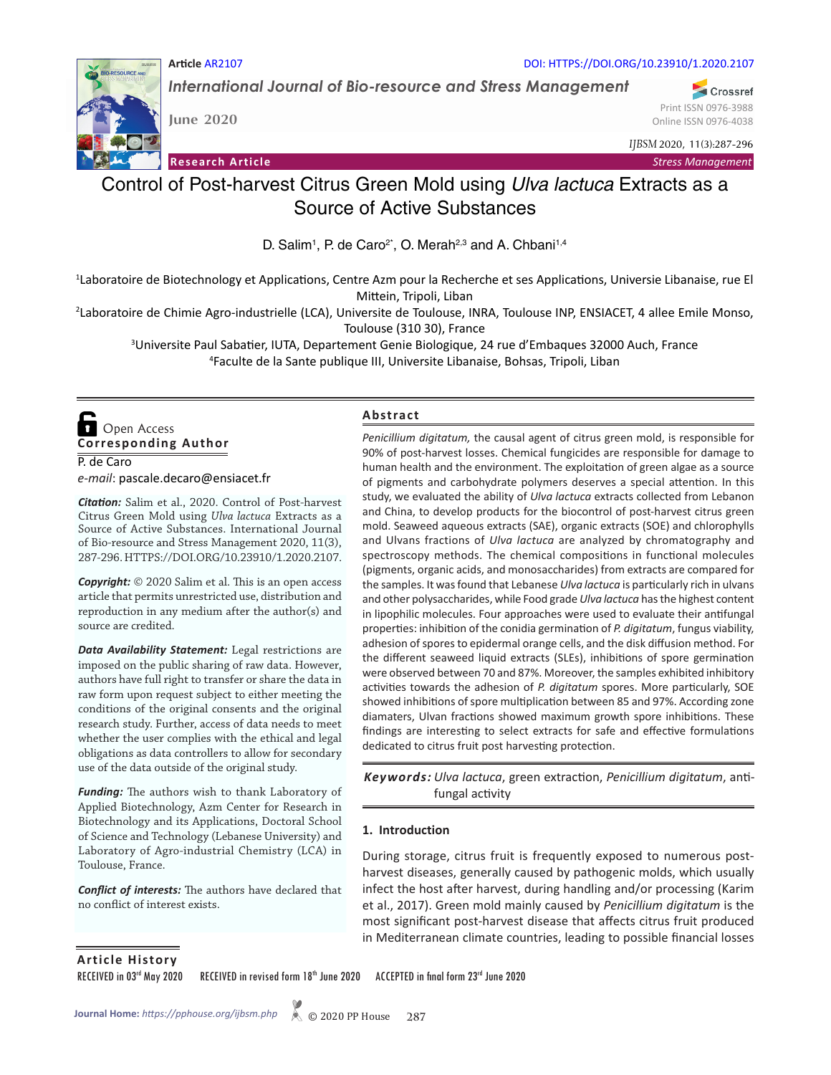

**June 2020**

**Article** AR2107

**Research Article**

DOI: HTTPS://DOI.ORG/10.23910/1.2020.2107

*International Journal of Bio-resource and Stress Management*

Crossref Print ISSN 0976-3988 Online ISSN 0976-4038

*IJBSM* 2020, 11(3):287-296

*Stress Management*

# Control of Post-harvest Citrus Green Mold using *Ulva lactuca* Extracts as a Source of Active Substances

D. Salim<sup>1</sup>, P. de Caro<sup>2\*</sup>, O. Merah<sup>2,3</sup> and A. Chbani<sup>1,4</sup>

1 Laboratoire de Biotechnology et Applications, Centre Azm pour la Recherche et ses Applications, Universie Libanaise, rue El Mittein, Tripoli, Liban

2 Laboratoire de Chimie Agro-industrielle (LCA), Universite de Toulouse, INRA, Toulouse INP, ENSIACET, 4 allee Emile Monso, Toulouse (310 30), France

<sup>3</sup>Universite Paul Sabatier, IUTA, Departement Genie Biologique, 24 rue d'Embaques 32000 Auch, France<br><sup>4</sup>Eaculte de la Sante publique III, Universite Libanaise, Bobsas, Tripoli, Liban Faculte de la Sante publique III, Universite Libanaise, Bohsas, Tripoli, Liban

P. de Caro **Corresponding Author**  Open Access

*e-mail*: pascale.decaro@ensiacet.fr

*Citation:* Salim et al., 2020. Control of Post-harvest Citrus Green Mold using *Ulva lactuca* Extracts as a Source of Active Substances. International Journal of Bio-resource and Stress Management 2020, 11(3), 287-296. HTTPS://DOI.ORG/10.23910/1.2020.2107.

*Copyright:* © 2020 Salim et al. This is an open access article that permits unrestricted use, distribution and reproduction in any medium after the author(s) and source are credited.

*Data Availability Statement:* Legal restrictions are imposed on the public sharing of raw data. However, authors have full right to transfer or share the data in raw form upon request subject to either meeting the conditions of the original consents and the original research study. Further, access of data needs to meet whether the user complies with the ethical and legal obligations as data controllers to allow for secondary use of the data outside of the original study.

*Funding:* The authors wish to thank Laboratory of Applied Biotechnology, Azm Center for Research in Biotechnology and its Applications, Doctoral School of Science and Technology (Lebanese University) and Laboratory of Agro-industrial Chemistry (LCA) in Toulouse, France.

*Conflict of interests:* The authors have declared that no conflict of interest exists.

#### **Abstract**

*Penicillium digitatum,* the causal agent of citrus green mold, is responsible for 90% of post-harvest losses. Chemical fungicides are responsible for damage to human health and the environment. The exploitation of green algae as a source of pigments and carbohydrate polymers deserves a special attention. In this study, we evaluated the ability of *Ulva lactuca* extracts collected from Lebanon and China, to develop products for the biocontrol of post-harvest citrus green mold. Seaweed aqueous extracts (SAE), organic extracts (SOE) and chlorophylls and Ulvans fractions of *Ulva lactuca* are analyzed by chromatography and spectroscopy methods. The chemical compositions in functional molecules (pigments, organic acids, and monosaccharides) from extracts are compared for the samples. It was found that Lebanese *Ulva lactuca* is particularly rich in ulvans and other polysaccharides, while Food grade *Ulva lactuca* has the highest content in lipophilic molecules. Four approaches were used to evaluate their antifungal properties: inhibition of the conidia germination of *P. digitatum*, fungus viability, adhesion of spores to epidermal orange cells, and the disk diffusion method. For the different seaweed liquid extracts (SLEs), inhibitions of spore germination were observed between 70 and 87%. Moreover, the samples exhibited inhibitory activities towards the adhesion of *P. digitatum* spores. More particularly, SOE showed inhibitions of spore multiplication between 85 and 97%. According zone diamaters, Ulvan fractions showed maximum growth spore inhibitions. These findings are interesting to select extracts for safe and effective formulations dedicated to citrus fruit post harvesting protection.

Keywords: Ulva lactuca, green extraction, Penicillium digitatum, antifungal activity

#### **1. Introduction**

During storage, citrus fruit is frequently exposed to numerous postharvest diseases, generally caused by pathogenic molds, which usually infect the host after harvest, during handling and/or processing (Karim et al., 2017). Green mold mainly caused by *Penicillium digitatum* is the most significant post-harvest disease that affects citrus fruit produced in Mediterranean climate countries, leading to possible financial losses

**Article History**

RECEIVED in 03<sup>rd</sup> May 2020 RECEIVED in revised form 18<sup>th</sup> June 2020 ACCEPTED in final form 23<sup>rd</sup> June 2020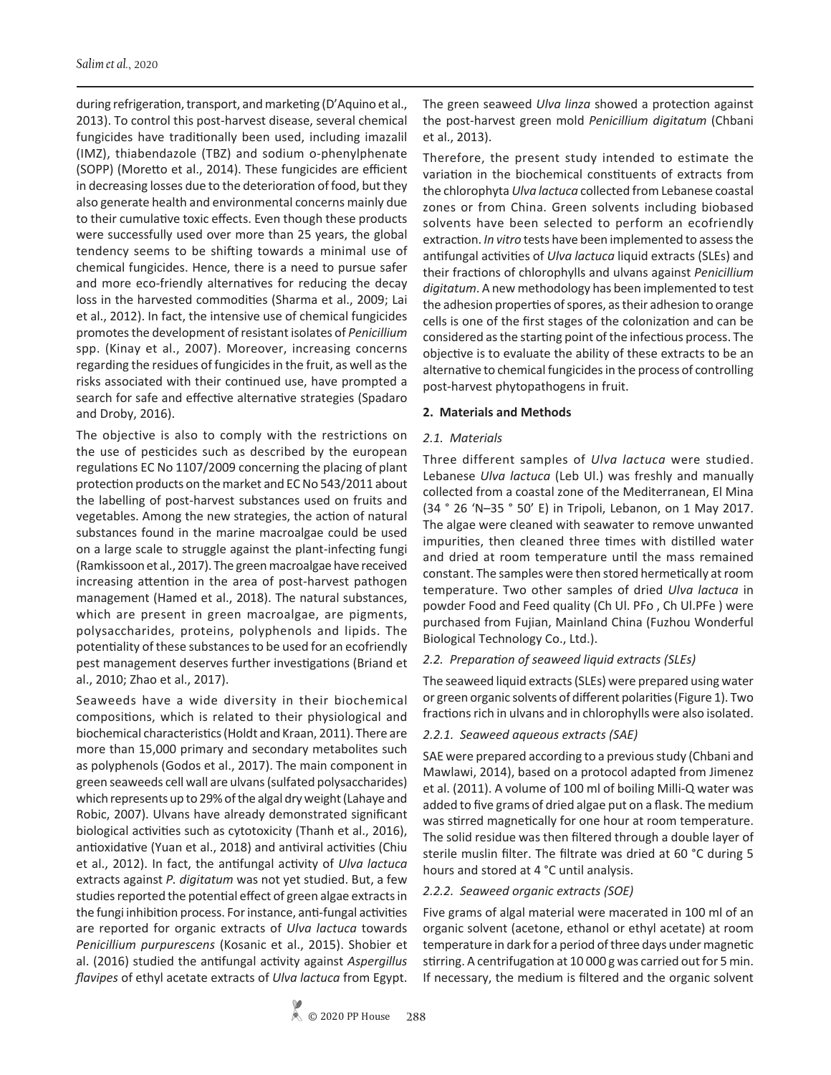during refrigeration, transport, and marketing (D'Aquino et al., 2013). To control this post-harvest disease, several chemical fungicides have traditionally been used, including imazalil (IMZ), thiabendazole (TBZ) and sodium o-phenylphenate (SOPP) (Moretto et al., 2014). These fungicides are efficient in decreasing losses due to the deterioration of food, but they also generate health and environmental concerns mainly due to their cumulative toxic effects. Even though these products were successfully used over more than 25 years, the global tendency seems to be shifting towards a minimal use of chemical fungicides. Hence, there is a need to pursue safer and more eco-friendly alternatives for reducing the decay loss in the harvested commodities (Sharma et al., 2009; Lai et al., 2012). In fact, the intensive use of chemical fungicides promotes the development of resistant isolates of *Penicillium*  spp. (Kinay et al., 2007). Moreover, increasing concerns regarding the residues of fungicides in the fruit, as well as the risks associated with their continued use, have prompted a search for safe and effective alternative strategies (Spadaro and Droby, 2016).

The objective is also to comply with the restrictions on the use of pesticides such as described by the european regulations EC No 1107/2009 concerning the placing of plant protection products on the market and EC No 543/2011 about the labelling of post-harvest substances used on fruits and vegetables. Among the new strategies, the action of natural substances found in the marine macroalgae could be used on a large scale to struggle against the plant-infecting fungi (Ramkissoon et al., 2017). The green macroalgae have received increasing attention in the area of post-harvest pathogen management (Hamed et al., 2018). The natural substances, which are present in green macroalgae, are pigments, polysaccharides, proteins, polyphenols and lipids. The potentiality of these substances to be used for an ecofriendly pest management deserves further investigations (Briand et al., 2010; Zhao et al., 2017).

Seaweeds have a wide diversity in their biochemical compositions, which is related to their physiological and biochemical characteristics (Holdt and Kraan, 2011). There are more than 15,000 primary and secondary metabolites such as polyphenols (Godos et al., 2017). The main component in green seaweeds cell wall are ulvans (sulfated polysaccharides) which represents up to 29% of the algal dry weight (Lahaye and Robic, 2007). Ulvans have already demonstrated significant biological activities such as cytotoxicity (Thanh et al., 2016), antioxidative (Yuan et al., 2018) and antiviral activities (Chiu et al., 2012). In fact, the antifungal activity of *Ulva lactuca* extracts against *P. digitatum* was not yet studied. But, a few studies reported the potential effect of green algae extracts in the fungi inhibition process. For instance, anti-fungal activities are reported for organic extracts of *Ulva lactuca* towards *Penicillium purpurescens* (Kosanic et al., 2015). Shobier et al. (2016) studied the antifungal activity against *Aspergillus flavipes* of ethyl acetate extracts of *Ulva lactuca* from Egypt.

The green seaweed *Ulva linza* showed a protection against the post-harvest green mold *Penicillium digitatum* (Chbani et al., 2013).

Therefore, the present study intended to estimate the variation in the biochemical constituents of extracts from the chlorophyta *Ulva lactuca* collected from Lebanese coastal zones or from China. Green solvents including biobased solvents have been selected to perform an ecofriendly extraction. *In vitro* tests have been implemented to assess the antifungal activities of *Ulva lactuca* liquid extracts (SLEs) and their fractions of chlorophylls and ulvans against *Penicillium digitatum*. A new methodology has been implemented to test the adhesion properties of spores, as their adhesion to orange cells is one of the first stages of the colonization and can be considered as the starting point of the infectious process. The objective is to evaluate the ability of these extracts to be an alternative to chemical fungicides in the process of controlling post-harvest phytopathogens in fruit.

#### **2. Materials and Methods**

#### *2.1. Materials*

Three different samples of *Ulva lactuca* were studied. Lebanese *Ulva lactuca* (Leb Ul.) was freshly and manually collected from a coastal zone of the Mediterranean, El Mina (34 ° 26 'N–35 ° 50' E) in Tripoli, Lebanon, on 1 May 2017. The algae were cleaned with seawater to remove unwanted impurities, then cleaned three times with distilled water and dried at room temperature until the mass remained constant. The samples were then stored hermetically at room temperature. Two other samples of dried *Ulva lactuca* in powder Food and Feed quality (Ch Ul. PFo , Ch Ul.PFe ) were purchased from Fujian, Mainland China (Fuzhou Wonderful Biological Technology Co., Ltd.).

#### *2.2. Preparation of seaweed liquid extracts (SLEs)*

The seaweed liquid extracts (SLEs) were prepared using water or green organic solvents of different polarities (Figure 1). Two fractions rich in ulvans and in chlorophylls were also isolated.

#### *2.2.1. Seaweed aqueous extracts (SAE)*

SAE were prepared according to a previous study (Chbani and Mawlawi, 2014), based on a protocol adapted from Jimenez et al. (2011). A volume of 100 ml of boiling Milli-Q water was added to five grams of dried algae put on a flask. The medium was stirred magnetically for one hour at room temperature. The solid residue was then filtered through a double layer of sterile muslin filter. The filtrate was dried at 60 °C during 5 hours and stored at 4 °C until analysis.

#### *2.2.2. Seaweed organic extracts (SOE)*

Five grams of algal material were macerated in 100 ml of an organic solvent (acetone, ethanol or ethyl acetate) at room temperature in dark for a period of three days under magnetic stirring. A centrifugation at 10 000 g was carried out for 5 min. If necessary, the medium is filtered and the organic solvent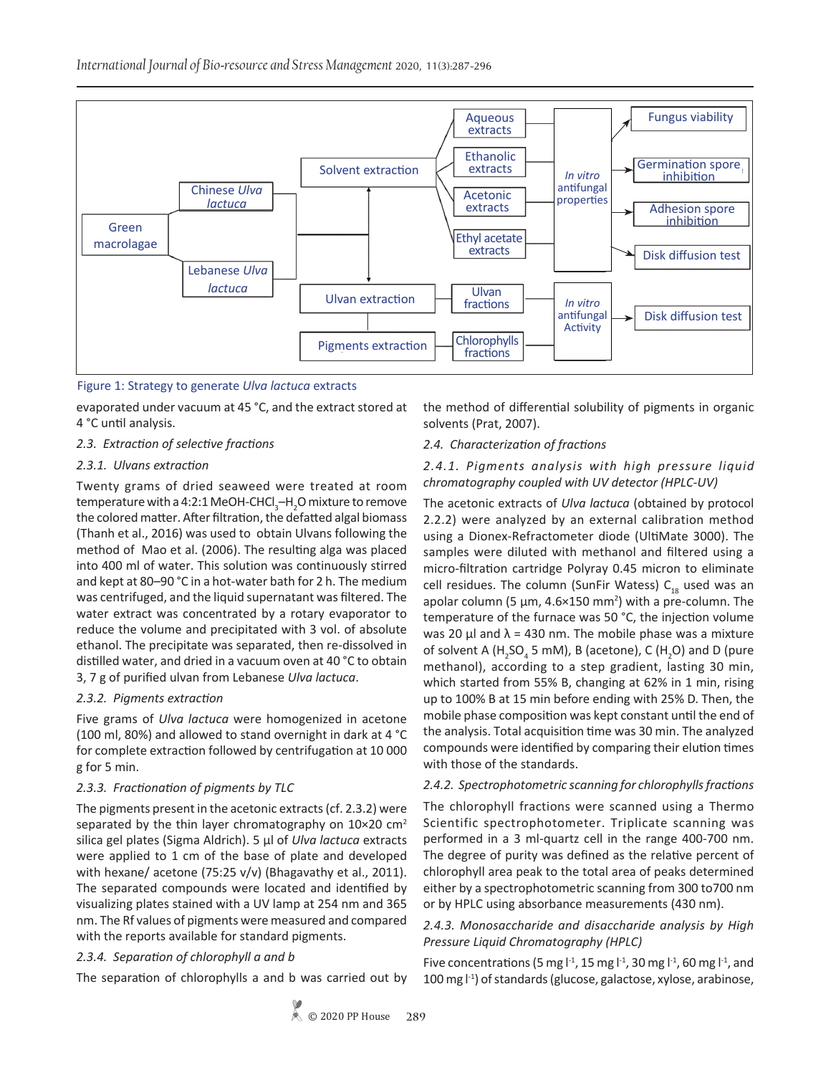

# Figure 1: Strategy to generate *Ulva lactuca* extracts

evaporated under vacuum at 45 °C, and the extract stored at 4 °C until analysis.

#### *2.3. Extraction of selective fractions*

#### *2.3.1. Ulvans extraction*

Twenty grams of dried seaweed were treated at room temperature with a 4:2:1 MeOH-CHCl<sub>3</sub>–H<sub>2</sub>O mixture to remove the colored matter. After filtration, the defatted algal biomass (Thanh et al., 2016) was used to obtain Ulvans following the method of Mao et al. (2006). The resulting alga was placed into 400 ml of water. This solution was continuously stirred and kept at 80–90 °C in a hot-water bath for 2 h. The medium was centrifuged, and the liquid supernatant was filtered. The water extract was concentrated by a rotary evaporator to reduce the volume and precipitated with 3 vol. of absolute ethanol. The precipitate was separated, then re-dissolved in distilled water, and dried in a vacuum oven at 40 °C to obtain 3, 7 g of purified ulvan from Lebanese *Ulva lactuca*.

# *2.3.2. Pigments extraction*

Five grams of *Ulva lactuca* were homogenized in acetone (100 ml, 80%) and allowed to stand overnight in dark at 4 °C for complete extraction followed by centrifugation at 10 000 g for 5 min.

# *2.3.3. Fractionation of pigments by TLC*

The pigments present in the acetonic extracts (cf. 2.3.2) were separated by the thin layer chromatography on  $10\times20$  cm<sup>2</sup> silica gel plates (Sigma Aldrich). 5 µl of *Ulva lactuca* extracts were applied to 1 cm of the base of plate and developed with hexane/ acetone (75:25 v/v) (Bhagavathy et al., 2011). The separated compounds were located and identified by visualizing plates stained with a UV lamp at 254 nm and 365 nm. The Rf values of pigments were measured and compared with the reports available for standard pigments.

# *2.3.4. Separation of chlorophyll a and b*

The separation of chlorophylls a and b was carried out by

the method of differential solubility of pigments in organic solvents (Prat, 2007).

#### *2.4. Characterization of fractions*

#### *2.4.1. Pigments analysis with high pressure liquid chromatography coupled with UV detector (HPLC-UV)*

The acetonic extracts of *Ulva lactuca* (obtained by protocol 2.2.2) were analyzed by an external calibration method using a Dionex-Refractometer diode (UltiMate 3000). The samples were diluted with methanol and filtered using a micro-filtration cartridge Polyray 0.45 micron to eliminate cell residues. The column (SunFir Watess)  $C_{18}$  used was an apolar column (5  $\mu$ m, 4.6×150 mm<sup>2</sup>) with a pre-column. The temperature of the furnace was 50 °C, the injection volume was 20  $\mu$ l and  $\lambda$  = 430 nm. The mobile phase was a mixture of solvent A (H<sub>2</sub>SO<sub>4</sub> 5 mM), B (acetone), C (H<sub>2</sub>O) and D (pure methanol), according to a step gradient, lasting 30 min, which started from 55% B, changing at 62% in 1 min, rising up to 100% B at 15 min before ending with 25% D. Then, the mobile phase composition was kept constant until the end of the analysis. Total acquisition time was 30 min. The analyzed compounds were identified by comparing their elution times with those of the standards.

#### *2.4.2. Spectrophotometric scanning for chlorophylls fractions*

The chlorophyll fractions were scanned using a Thermo Scientific spectrophotometer. Triplicate scanning was performed in a 3 ml-quartz cell in the range 400-700 nm. The degree of purity was defined as the relative percent of chlorophyll area peak to the total area of peaks determined either by a spectrophotometric scanning from 300 to700 nm or by HPLC using absorbance measurements (430 nm).

# *2.4.3. Monosaccharide and disaccharide analysis by High Pressure Liquid Chromatography (HPLC)*

Five concentrations (5 mg  $\vert$ <sup>-1</sup>, 15 mg  $\vert$ <sup>-1</sup>, 30 mg  $\vert$ <sup>-1</sup>, 60 mg  $\vert$ <sup>-1</sup>, and 100 mg l<sup>-1</sup>) of standards (glucose, galactose, xylose, arabinose,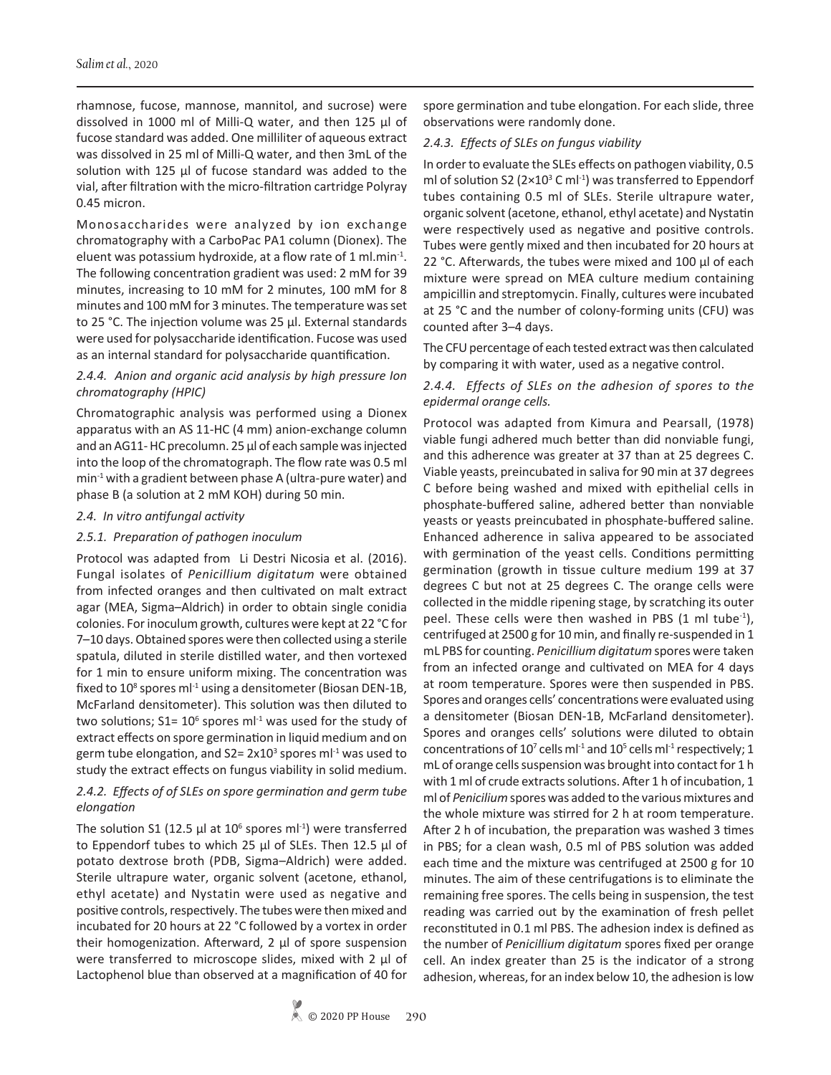rhamnose, fucose, mannose, mannitol, and sucrose) were dissolved in 1000 ml of Milli-Q water, and then 125 μl of fucose standard was added. One milliliter of aqueous extract was dissolved in 25 ml of Milli-Q water, and then 3mL of the solution with 125 μl of fucose standard was added to the vial, after filtration with the micro-filtration cartridge Polyray 0.45 micron.

Monosaccharides were analyzed by ion exchange chromatography with a CarboPac PA1 column (Dionex). The eluent was potassium hydroxide, at a flow rate of 1 ml.min-1. The following concentration gradient was used: 2 mM for 39 minutes, increasing to 10 mM for 2 minutes, 100 mM for 8 minutes and 100 mM for 3 minutes. The temperature was set to 25 °C. The injection volume was 25 µl. External standards were used for polysaccharide identification. Fucose was used as an internal standard for polysaccharide quantification.

# *2.4.4. Anion and organic acid analysis by high pressure Ion chromatography (HPIC)*

Chromatographic analysis was performed using a Dionex apparatus with an AS 11-HC (4 mm) anion-exchange column and an AG11- HC precolumn. 25 µl of each sample was injected into the loop of the chromatograph. The flow rate was 0.5 ml  $min<sup>-1</sup>$  with a gradient between phase A (ultra-pure water) and phase B (a solution at 2 mM KOH) during 50 min.

#### *2.4. In vitro antifungal activity*

#### *2.5.1. Preparation of pathogen inoculum*

Protocol was adapted from Li Destri Nicosia et al. (2016). Fungal isolates of *Penicillium digitatum* were obtained from infected oranges and then cultivated on malt extract agar (MEA, Sigma–Aldrich) in order to obtain single conidia colonies. For inoculum growth, cultures were kept at 22 °C for 7–10 days. Obtained spores were then collected using a sterile spatula, diluted in sterile distilled water, and then vortexed for 1 min to ensure uniform mixing. The concentration was fixed to  $10^8$  spores ml<sup>-1</sup> using a densitometer (Biosan DEN-1B, McFarland densitometer). This solution was then diluted to two solutions;  $S1 = 10^6$  spores m $1^4$  was used for the study of extract effects on spore germination in liquid medium and on germ tube elongation, and  $S2 = 2 \times 10^3$  spores ml<sup>-1</sup> was used to study the extract effects on fungus viability in solid medium.

# *2.4.2. Effects of of SLEs on spore germination and germ tube elongation*

The solution S1 (12.5  $\mu$ l at 10<sup>6</sup> spores ml<sup>-1</sup>) were transferred to Eppendorf tubes to which 25 μl of SLEs. Then 12.5 μl of potato dextrose broth (PDB, Sigma–Aldrich) were added. Sterile ultrapure water, organic solvent (acetone, ethanol, ethyl acetate) and Nystatin were used as negative and positive controls, respectively. The tubes were then mixed and incubated for 20 hours at 22 °C followed by a vortex in order their homogenization. Afterward, 2 μl of spore suspension were transferred to microscope slides, mixed with 2 μl of Lactophenol blue than observed at a magnification of 40 for

spore germination and tube elongation. For each slide, three observations were randomly done.

#### *2.4.3. Effects of SLEs on fungus viability*

In order to evaluate the SLEs effects on pathogen viability, 0.5 ml of solution S2 ( $2\times10^3$  C ml<sup>-1</sup>) was transferred to Eppendorf tubes containing 0.5 ml of SLEs. Sterile ultrapure water, organic solvent (acetone, ethanol, ethyl acetate) and Nystatin were respectively used as negative and positive controls. Tubes were gently mixed and then incubated for 20 hours at 22 °C. Afterwards, the tubes were mixed and 100 µl of each mixture were spread on MEA culture medium containing ampicillin and streptomycin. Finally, cultures were incubated at 25 °C and the number of colony-forming units (CFU) was counted after 3–4 days.

The CFU percentage of each tested extract was then calculated by comparing it with water, used as a negative control.

#### *2.4.4. Effects of SLEs on the adhesion of spores to the epidermal orange cells.*

Protocol was adapted from Kimura and Pearsall, (1978) viable fungi adhered much better than did nonviable fungi, and this adherence was greater at 37 than at 25 degrees C. Viable yeasts, preincubated in saliva for 90 min at 37 degrees C before being washed and mixed with epithelial cells in phosphate-buffered saline, adhered better than nonviable yeasts or yeasts preincubated in phosphate-buffered saline. Enhanced adherence in saliva appeared to be associated with germination of the yeast cells. Conditions permitting germination (growth in tissue culture medium 199 at 37 degrees C but not at 25 degrees C. The orange cells were collected in the middle ripening stage, by scratching its outer peel. These cells were then washed in PBS  $(1 \text{ ml tube}^{-1})$ , centrifuged at 2500 g for 10 min, and finally re-suspended in 1 mL PBS for counting. *Penicillium digitatum* spores were taken from an infected orange and cultivated on MEA for 4 days at room temperature. Spores were then suspended in PBS. Spores and oranges cells' concentrations were evaluated using a densitometer (Biosan DEN-1B, McFarland densitometer). Spores and oranges cells' solutions were diluted to obtain concentrations of  $10^7$  cells ml<sup>-1</sup> and  $10^5$  cells ml<sup>-1</sup> respectively; 1 mL of orange cells suspension was brought into contact for 1 h with 1 ml of crude extracts solutions. After 1 h of incubation, 1 ml of *Penicilium* spores was added to the various mixtures and the whole mixture was stirred for 2 h at room temperature. After 2 h of incubation, the preparation was washed 3 times in PBS; for a clean wash, 0.5 ml of PBS solution was added each time and the mixture was centrifuged at 2500 g for 10 minutes. The aim of these centrifugations is to eliminate the remaining free spores. The cells being in suspension, the test reading was carried out by the examination of fresh pellet reconstituted in 0.1 ml PBS. The adhesion index is defined as the number of *Penicillium digitatum* spores fixed per orange cell. An index greater than 25 is the indicator of a strong adhesion, whereas, for an index below 10, the adhesion is low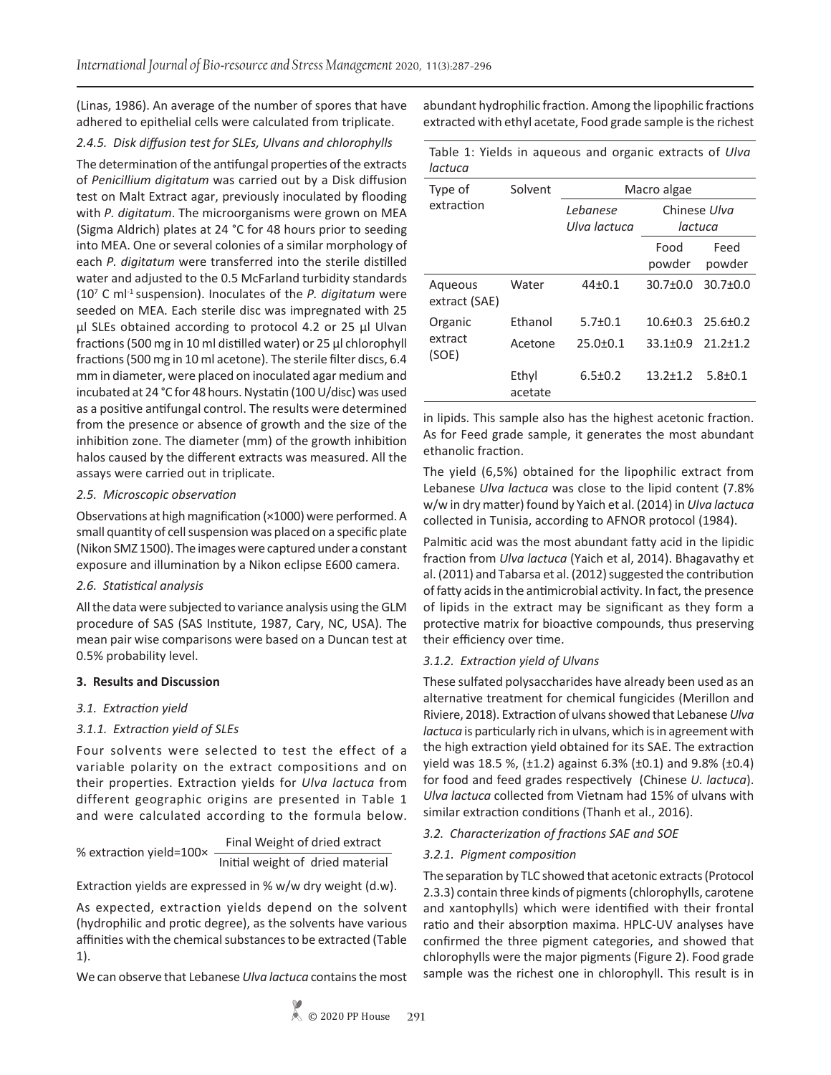(Linas, 1986). An average of the number of spores that have adhered to epithelial cells were calculated from triplicate.

# *2.4.5. Disk diffusion test for SLEs, Ulvans and chlorophylls*

The determination of the antifungal properties of the extracts of *Penicillium digitatum* was carried out by a Disk diffusion test on Malt Extract agar, previously inoculated by flooding with *P. digitatum*. The microorganisms were grown on MEA (Sigma Aldrich) plates at 24 °C for 48 hours prior to seeding into MEA. One or several colonies of a similar morphology of each *P. digitatum* were transferred into the sterile distilled water and adjusted to the 0.5 McFarland turbidity standards (107 C ml-1 suspension). Inoculates of the *P. digitatum* were seeded on MEA. Each sterile disc was impregnated with 25 μl SLEs obtained according to protocol 4.2 or 25 μl Ulvan fractions (500 mg in 10 ml distilled water) or 25 μl chlorophyll fractions (500 mg in 10 ml acetone). The sterile filter discs, 6.4 mm in diameter, were placed on inoculated agar medium and incubated at 24 °C for 48 hours. Nystatin (100 U/disc) was used as a positive antifungal control. The results were determined from the presence or absence of growth and the size of the inhibition zone. The diameter (mm) of the growth inhibition halos caused by the different extracts was measured. All the assays were carried out in triplicate.

# *2.5. Microscopic observation*

Observations at high magnification (×1000) were performed. A small quantity of cell suspension was placed on a specific plate (Nikon SMZ 1500). The images were captured under a constant exposure and illumination by a Nikon eclipse E600 camera.

# *2.6. Statistical analysis*

All the data were subjected to variance analysis using the GLM procedure of SAS (SAS Institute, 1987, Cary, NC, USA). The mean pair wise comparisons were based on a Duncan test at 0.5% probability level.

# **3. Results and Discussion**

# *3.1. Extraction yield*

# *3.1.1. Extraction yield of SLEs*

Four solvents were selected to test the effect of a variable polarity on the extract compositions and on their properties. Extraction yields for *Ulva lactuca* from different geographic origins are presented in Table 1 and were calculated according to the formula below.

| % extraction yield=100× | Final Weight of dried extract    |  |  |  |  |
|-------------------------|----------------------------------|--|--|--|--|
|                         | Initial weight of dried material |  |  |  |  |

Extraction yields are expressed in % w/w dry weight (d.w).

As expected, extraction yields depend on the solvent (hydrophilic and protic degree), as the solvents have various affinities with the chemical substances to be extracted (Table 1).

We can observe that Lebanese *Ulva lactuca* contains the most

abundant hydrophilic fraction. Among the lipophilic fractions extracted with ethyl acetate, Food grade sample is the richest

|         |  | Table 1: Yields in agueous and organic extracts of Ulva |  |  |  |
|---------|--|---------------------------------------------------------|--|--|--|
| lactuca |  |                                                         |  |  |  |

| Type of                  | Solvent          | Macro algae              |                         |                |  |  |
|--------------------------|------------------|--------------------------|-------------------------|----------------|--|--|
| extraction               |                  | Lebanese<br>Ulva lactuca | Chinese Ulva<br>lactuca |                |  |  |
|                          |                  |                          | Food<br>powder          | Feed<br>powder |  |  |
| Aqueous<br>extract (SAE) | Water            | $44+0.1$                 | $30.7 + 0.0$            | $30.7 \pm 0.0$ |  |  |
| Organic                  | Fthanol          | $5.7 \pm 0.1$            | $10.6 + 0.3$            | $25.6 + 0.2$   |  |  |
| extract<br>(SOE)         | Acetone          | $25.0 \pm 0.1$           | $33.1 \pm 0.9$          | $21.2 \pm 1.2$ |  |  |
|                          | Ethyl<br>acetate | $6.5 \pm 0.2$            | $13.2 + 1.2$            | $5.8 \pm 0.1$  |  |  |

in lipids. This sample also has the highest acetonic fraction. As for Feed grade sample, it generates the most abundant ethanolic fraction.

The yield (6,5%) obtained for the lipophilic extract from Lebanese *Ulva lactuca* was close to the lipid content (7.8% w/w in dry matter) found by Yaich et al. (2014) in *Ulva lactuca* collected in Tunisia, according to AFNOR protocol (1984).

Palmitic acid was the most abundant fatty acid in the lipidic fraction from *Ulva lactuca* (Yaich et al, 2014). Bhagavathy et al. (2011) and Tabarsa et al. (2012) suggested the contribution of fatty acids in the antimicrobial activity. In fact, the presence of lipids in the extract may be significant as they form a protective matrix for bioactive compounds, thus preserving their efficiency over time.

# *3.1.2. Extraction yield of Ulvans*

These sulfated polysaccharides have already been used as an alternative treatment for chemical fungicides (Merillon and Riviere, 2018). Extraction of ulvans showed that Lebanese *Ulva lactuca* is particularly rich in ulvans, which is in agreement with the high extraction yield obtained for its SAE. The extraction yield was 18.5 %,  $(\pm 1.2)$  against 6.3%  $(\pm 0.1)$  and 9.8%  $(\pm 0.4)$ for food and feed grades respectively (Chinese *U. lactuca*). *Ulva lactuca* collected from Vietnam had 15% of ulvans with similar extraction conditions (Thanh et al., 2016).

# *3.2. Characterization of fractions SAE and SOE*

# *3.2.1. Pigment composition*

The separation by TLC showed that acetonic extracts (Protocol 2.3.3) contain three kinds of pigments (chlorophylls, carotene and xantophylls) which were identified with their frontal ratio and their absorption maxima. HPLC-UV analyses have confirmed the three pigment categories, and showed that chlorophylls were the major pigments (Figure 2). Food grade sample was the richest one in chlorophyll. This result is in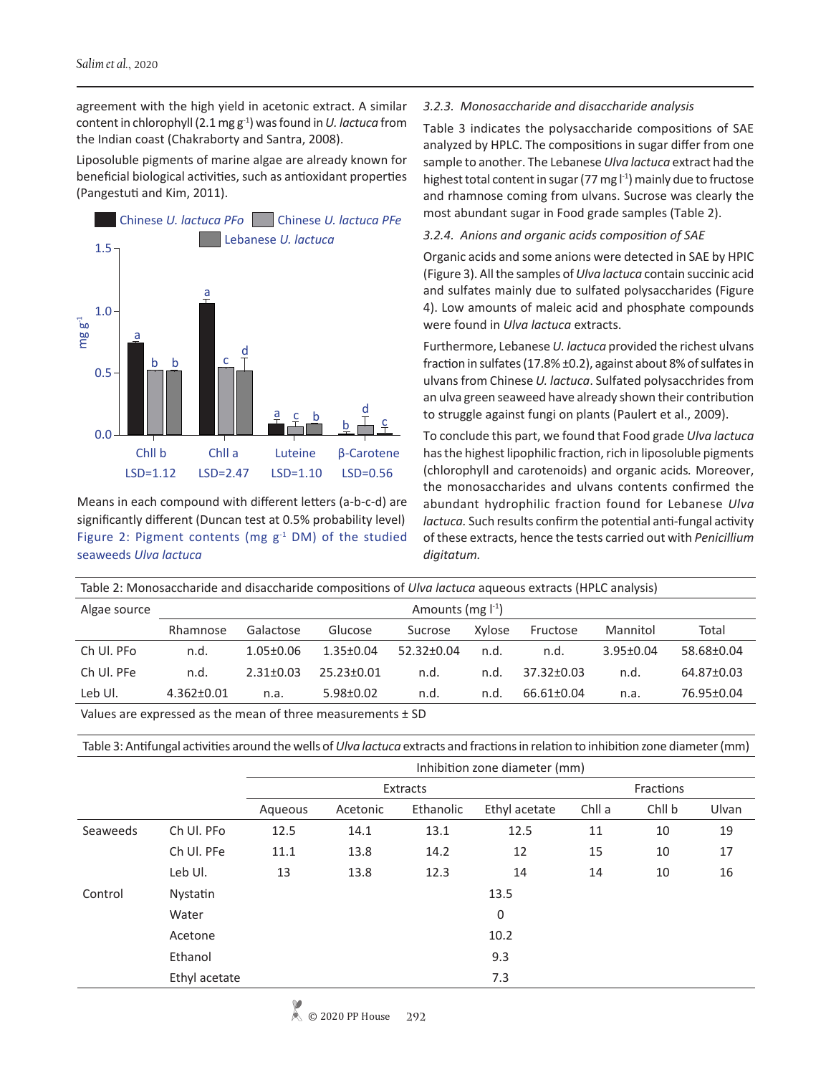agreement with the high yield in acetonic extract. A similar content in chlorophyll (2.1 mg g-1) was found in *U. lactuca* from the Indian coast (Chakraborty and Santra, 2008).

Liposoluble pigments of marine algae are already known for beneficial biological activities, such as antioxidant properties (Pangestuti and Kim, 2011).



Means in each compound with different letters (a-b-c-d) are significantly different (Duncan test at 0.5% probability level) Figure 2: Pigment contents (mg  $g^{-1}$  DM) of the studied seaweeds *Ulva lactuca*

#### *3.2.3. Monosaccharide and disaccharide analysis*

Table 3 indicates the polysaccharide compositions of SAE analyzed by HPLC. The compositions in sugar differ from one sample to another. The Lebanese *Ulva lactuca* extract had the highest total content in sugar (77 mg  $l^{-1}$ ) mainly due to fructose and rhamnose coming from ulvans. Sucrose was clearly the most abundant sugar in Food grade samples (Table 2).

*3.2.4. Anions and organic acids composition of SAE* 

Organic acids and some anions were detected in SAE by HPIC (Figure 3). All the samples of *Ulva lactuca* contain succinic acid and sulfates mainly due to sulfated polysaccharides (Figure 4). Low amounts of maleic acid and phosphate compounds were found in *Ulva lactuca* extracts.

Furthermore, Lebanese *U. lactuca* provided the richest ulvans fraction in sulfates (17.8% ±0.2), against about 8% of sulfates in ulvans from Chinese *U. lactuca*. Sulfated polysacchrides from an ulva green seaweed have already shown their contribution to struggle against fungi on plants (Paulert et al., 2009).

To conclude this part, we found that Food grade *Ulva lactuca*  has the highest lipophilic fraction, rich in liposoluble pigments (chlorophyll and carotenoids) and organic acids*.* Moreover, the monosaccharides and ulvans contents confirmed the abundant hydrophilic fraction found for Lebanese *Ulva lactuca.* Such results confirm the potential anti-fungal activity of these extracts, hence the tests carried out with *Penicillium digitatum.* 

Table 2: Monosaccharide and disaccharide compositions of *Ulva lactuca* aqueous extracts (HPLC analysis)

| Algae source | Amounts (mg $\lceil \cdot^1 \rceil$ )  |                 |                 |                  |        |                  |                 |            |  |
|--------------|----------------------------------------|-----------------|-----------------|------------------|--------|------------------|-----------------|------------|--|
|              | Rhamnose                               | Galactose       | Glucose         | Sucrose          | Xylose | Fructose         | Mannitol        | Total      |  |
| Ch Ul. PFo   | n.d.                                   | $1.05 \pm 0.06$ | $1.35 \pm 0.04$ | $52.32 \pm 0.04$ | n.d.   | n.d.             | $3.95 \pm 0.04$ | 58.68±0.04 |  |
| Ch Ul. PFe   | n.d.                                   | $2.31 \pm 0.03$ | $25.23 + 0.01$  | n.d.             | n.d.   | $37.32 \pm 0.03$ | n.d.            | 64.87±0.03 |  |
| Leb Ul.      | $4.362 \pm 0.01$                       | n.a.            | $5.98 \pm 0.02$ | n.d.             | n.d.   | 66.61±0.04       | n.a.            | 76.95±0.04 |  |
| .            | $\mathbf{r}$ . The set of $\mathbf{r}$ | $\sim$          |                 |                  |        |                  |                 |            |  |

Values are expressed as the mean of three measurements  $\pm$  SD

Table 3: Antifungal activities around the wells of *Ulva lactuca* extracts and fractions in relation to inhibition zone diameter (mm)

|          |               | Inhibition zone diameter (mm) |          |           |               |           |        |       |
|----------|---------------|-------------------------------|----------|-----------|---------------|-----------|--------|-------|
|          |               | Extracts                      |          |           |               | Fractions |        |       |
|          |               | Aqueous                       | Acetonic | Ethanolic | Ethyl acetate | Chll a    | Chll b | Ulvan |
| Seaweeds | Ch Ul. PFo    | 12.5                          | 14.1     | 13.1      | 12.5          | 11        | 10     | 19    |
|          | Ch Ul. PFe    | 11.1                          | 13.8     | 14.2      | 12            | 15        | 10     | 17    |
|          | Leb Ul.       | 13                            | 13.8     | 12.3      | 14            | 14        | 10     | 16    |
| Control  | Nystatin      |                               |          |           | 13.5          |           |        |       |
|          | Water         |                               |          |           | 0             |           |        |       |
|          | Acetone       |                               |          |           | 10.2          |           |        |       |
|          | Ethanol       |                               |          |           | 9.3           |           |        |       |
|          | Ethyl acetate |                               |          |           | 7.3           |           |        |       |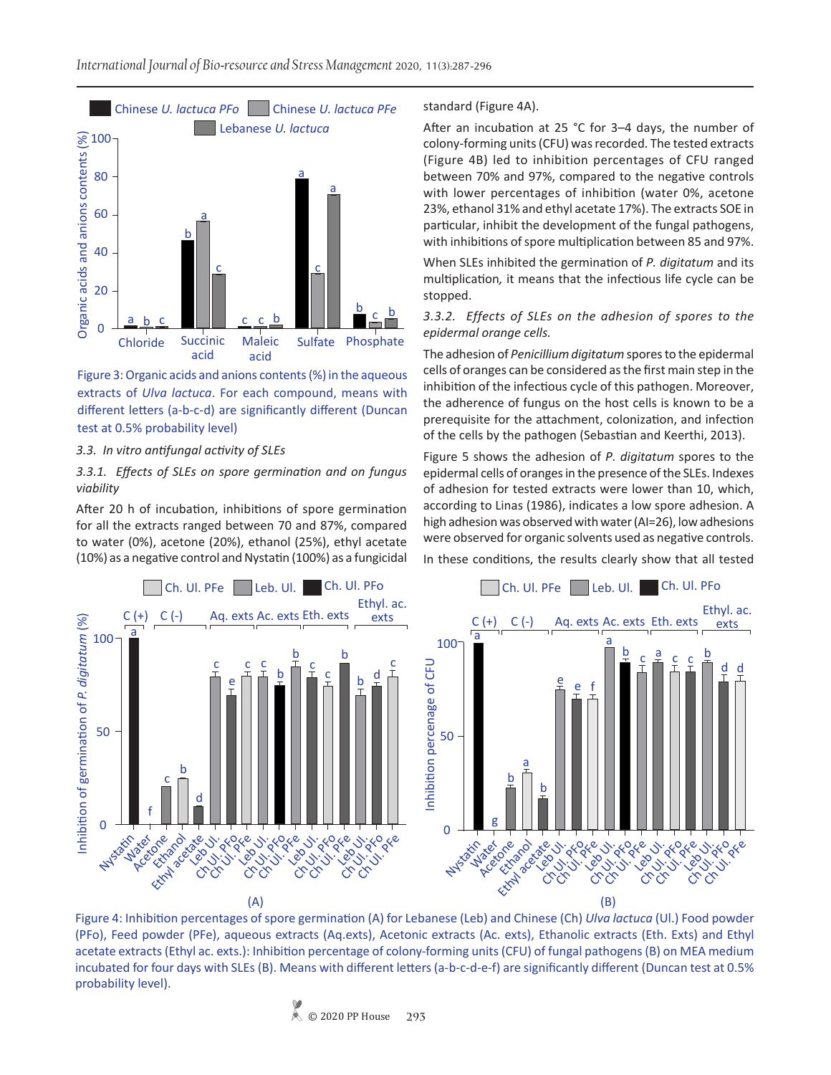

Figure 3: Organic acids and anions contents (%) in the aqueous extracts of *Ulva lactuca*. For each compound, means with different letters (a-b-c-d) are significantly different (Duncan test at 0.5% probability level)

#### *3.3. In vitro antifungal activity of SLEs*

#### *3.3.1. Effects of SLEs on spore germination and on fungus viability*

After 20 h of incubation, inhibitions of spore germination for all the extracts ranged between 70 and 87%, compared to water (0%), acetone (20%), ethanol (25%), ethyl acetate (10%) as a negative control and Nystatin (100%) as a fungicidal

#### standard (Figure 4A).

After an incubation at 25 °C for 3–4 days, the number of colony-forming units (CFU) was recorded. The tested extracts (Figure 4B) led to inhibition percentages of CFU ranged between 70% and 97%, compared to the negative controls with lower percentages of inhibition (water 0%, acetone 23%, ethanol 31% and ethyl acetate 17%). The extracts SOE in particular, inhibit the development of the fungal pathogens, with inhibitions of spore multiplication between 85 and 97%.

When SLEs inhibited the germination of *P. digitatum* and its multiplication*,* it means that the infectious life cycle can be stopped.

#### *3.3.2. Effects of SLEs on the adhesion of spores to the epidermal orange cells.*

The adhesion of *Penicillium digitatum* spores to the epidermal cells of oranges can be considered as the first main step in the inhibition of the infectious cycle of this pathogen. Moreover, the adherence of fungus on the host cells is known to be a prerequisite for the attachment, colonization, and infection of the cells by the pathogen (Sebastian and Keerthi, 2013).

Figure 5 shows the adhesion of *P. digitatum* spores to the epidermal cells of oranges in the presence of the SLEs. Indexes of adhesion for tested extracts were lower than 10, which, according to Linas (1986), indicates a low spore adhesion. A high adhesion was observed with water (AI=26), low adhesions were observed for organic solvents used as negative controls. In these conditions, the results clearly show that all tested



Figure 4: Inhibition percentages of spore germination (A) for Lebanese (Leb) and Chinese (Ch) *Ulva lactuca* (Ul.) Food powder (PFo), Feed powder (PFe), aqueous extracts (Aq.exts), Acetonic extracts (Ac. exts), Ethanolic extracts (Eth. Exts) and Ethyl acetate extracts (Ethyl ac. exts.): Inhibition percentage of colony-forming units (CFU) of fungal pathogens (B) on MEA medium incubated for four days with SLEs (B). Means with different letters (a-b-c-d-e-f) are significantly different (Duncan test at 0.5% probability level).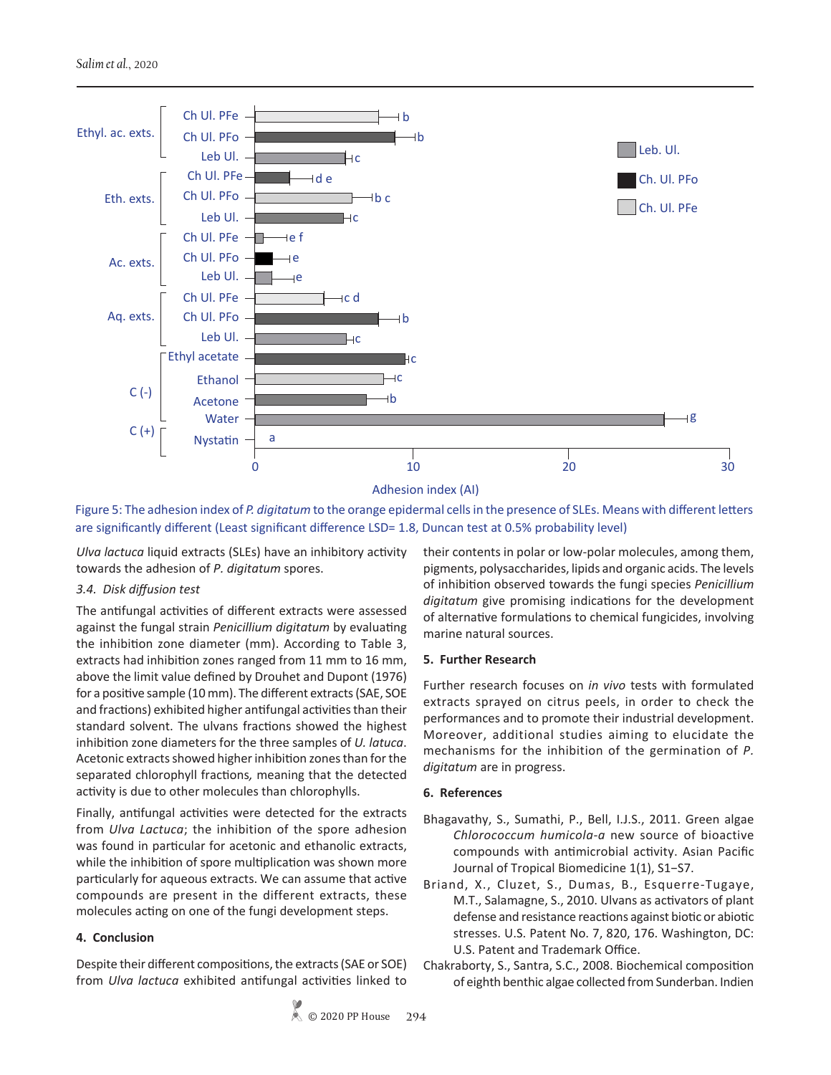

Adhesion index (AI)

Figure 5: The adhesion index of *P. digitatum* to the orange epidermal cells in the presence of SLEs. Means with different letters are significantly different (Least significant difference LSD= 1.8, Duncan test at 0.5% probability level)

*Ulva lactuca* liquid extracts (SLEs) have an inhibitory activity towards the adhesion of *P. digitatum* spores.

# *3.4. Disk diffusion test*

The antifungal activities of different extracts were assessed against the fungal strain *Penicillium digitatum* by evaluating the inhibition zone diameter (mm). According to Table 3, extracts had inhibition zones ranged from 11 mm to 16 mm, above the limit value defined by Drouhet and Dupont (1976) for a positive sample (10 mm). The different extracts (SAE, SOE and fractions) exhibited higher antifungal activities than their standard solvent. The ulvans fractions showed the highest inhibition zone diameters for the three samples of *U. latuca*. Acetonic extracts showed higher inhibition zones than for the separated chlorophyll fractions*,* meaning that the detected activity is due to other molecules than chlorophylls.

Finally, antifungal activities were detected for the extracts from *Ulva Lactuca*; the inhibition of the spore adhesion was found in particular for acetonic and ethanolic extracts, while the inhibition of spore multiplication was shown more particularly for aqueous extracts. We can assume that active compounds are present in the different extracts, these molecules acting on one of the fungi development steps.

# **4. Conclusion**

Despite their different compositions, the extracts (SAE or SOE) from *Ulva lactuca* exhibited antifungal activities linked to

their contents in polar or low-polar molecules, among them, pigments, polysaccharides, lipids and organic acids. The levels of inhibition observed towards the fungi species *Penicillium digitatum* give promising indications for the development of alternative formulations to chemical fungicides, involving marine natural sources.

# **5. Further Research**

Further research focuses on *in vivo* tests with formulated extracts sprayed on citrus peels, in order to check the performances and to promote their industrial development. Moreover, additional studies aiming to elucidate the mechanisms for the inhibition of the germination of *P. digitatum* are in progress.

# **6. References**

- Bhagavathy, S., Sumathi, P., Bell, I.J.S., 2011. Green algae *Chlorococcum humicola-a* new source of bioactive compounds with antimicrobial activity. Asian Pacific Journal of Tropical Biomedicine 1(1), S1−S7.
- Briand, X., Cluzet, S., Dumas, B., Esquerre-Tugaye, M.T., Salamagne, S., 2010. Ulvans as activators of plant defense and resistance reactions against biotic or abiotic stresses. U.S. Patent No. 7, 820, 176. Washington, DC: U.S. Patent and Trademark Office.
- Chakraborty, S., Santra, S.C., 2008. Biochemical composition of eighth benthic algae collected from Sunderban. Indien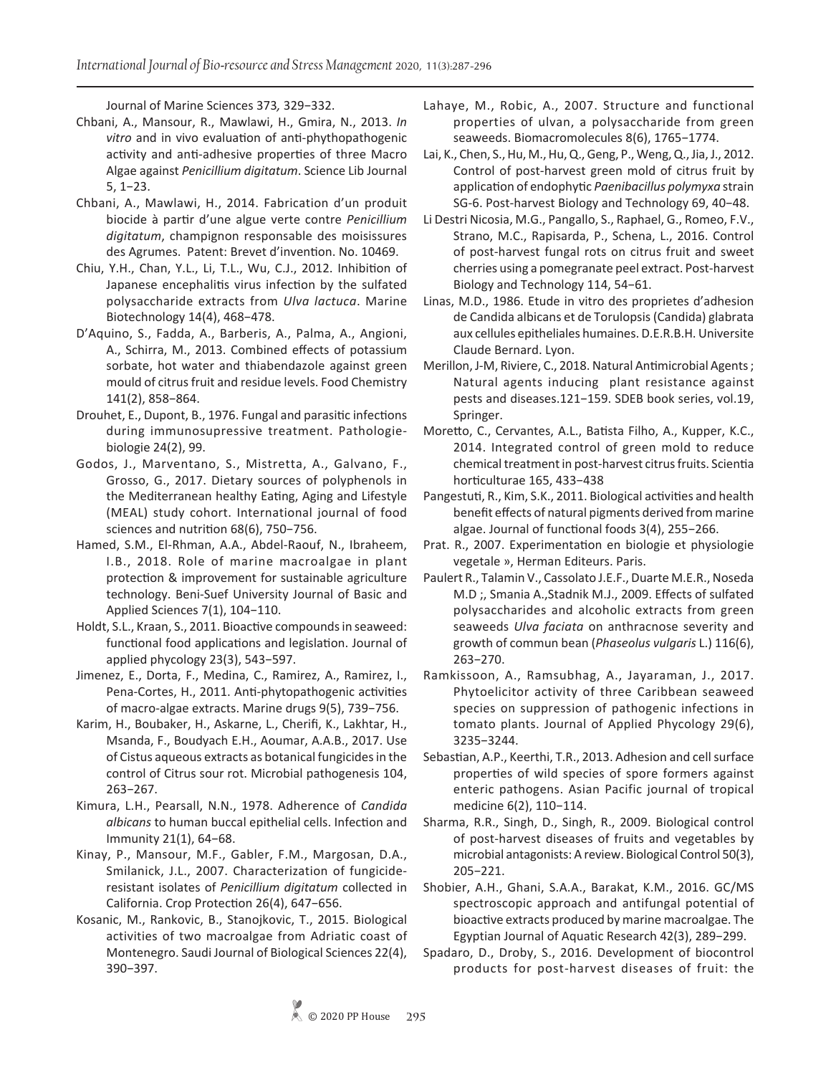Journal of Marine Sciences 373*,* 329−332.

- Chbani, A., Mansour, R., Mawlawi, H., Gmira, N., 2013. *In vitro* and in vivo evaluation of anti-phythopathogenic activity and anti-adhesive properties of three Macro Algae against *Penicillium digitatum*. Science Lib Journal 5, 1−23.
- Chbani, A., Mawlawi, H., 2014. Fabrication d'un produit biocide à partir d'une algue verte contre *Penicillium digitatum*, champignon responsable des moisissures des Agrumes. Patent: Brevet d'invention. No. 10469.
- Chiu, Y.H., Chan, Y.L., Li, T.L., Wu, C.J., 2012. Inhibition of Japanese encephalitis virus infection by the sulfated polysaccharide extracts from *Ulva lactuca*. Marine Biotechnology 14(4), 468−478.
- D'Aquino, S., Fadda, A., Barberis, A., Palma, A., Angioni, A., Schirra, M., 2013. Combined effects of potassium sorbate, hot water and thiabendazole against green mould of citrus fruit and residue levels. Food Chemistry 141(2), 858−864.
- Drouhet, E., Dupont, B., 1976. Fungal and parasitic infections during immunosupressive treatment. Pathologiebiologie 24(2), 99.
- Godos, J., Marventano, S., Mistretta, A., Galvano, F., Grosso, G., 2017. Dietary sources of polyphenols in the Mediterranean healthy Eating, Aging and Lifestyle (MEAL) study cohort. International journal of food sciences and nutrition 68(6), 750−756.
- Hamed, S.M., El-Rhman, A.A., Abdel-Raouf, N., Ibraheem, I.B., 2018. Role of marine macroalgae in plant protection & improvement for sustainable agriculture technology. Beni-Suef University Journal of Basic and Applied Sciences 7(1), 104−110.
- Holdt, S.L., Kraan, S., 2011. Bioactive compounds in seaweed: functional food applications and legislation. Journal of applied phycology 23(3), 543−597.
- Jimenez, E., Dorta, F., Medina, C., Ramirez, A., Ramirez, I., Pena-Cortes, H., 2011. Anti-phytopathogenic activities of macro-algae extracts. Marine drugs 9(5), 739−756.
- Karim, H., Boubaker, H., Askarne, L., Cherifi, K., Lakhtar, H., Msanda, F., Boudyach E.H., Aoumar, A.A.B., 2017. Use of Cistus aqueous extracts as botanical fungicides in the control of Citrus sour rot. Microbial pathogenesis 104, 263−267.
- Kimura, L.H., Pearsall, N.N., 1978. Adherence of *Candida albicans* to human buccal epithelial cells. Infection and Immunity 21(1), 64−68.
- Kinay, P., Mansour, M.F., Gabler, F.M., Margosan, D.A., Smilanick, J.L., 2007. Characterization of fungicideresistant isolates of *Penicillium digitatum* collected in California. Crop Protection 26(4), 647−656.
- Kosanic, M., Rankovic, B., Stanojkovic, T., 2015. Biological activities of two macroalgae from Adriatic coast of Montenegro. Saudi Journal of Biological Sciences 22(4), 390−397.
- Lahaye, M., Robic, A., 2007. Structure and functional properties of ulvan, a polysaccharide from green seaweeds. Biomacromolecules 8(6), 1765−1774.
- Lai, K., Chen, S., Hu, M., Hu, Q., Geng, P., Weng, Q., Jia, J., 2012. Control of post-harvest green mold of citrus fruit by application of endophytic *Paenibacillus polymyxa* strain SG-6. Post-harvest Biology and Technology 69, 40−48.
- Li Destri Nicosia, M.G., Pangallo, S., Raphael, G., Romeo, F.V., Strano, M.C., Rapisarda, P., Schena, L., 2016. Control of post-harvest fungal rots on citrus fruit and sweet cherries using a pomegranate peel extract. Post-harvest Biology and Technology 114, 54−61.
- Linas, M.D., 1986. Etude in vitro des proprietes d'adhesion de Candida albicans et de Torulopsis (Candida) glabrata aux cellules epitheliales humaines. D.E.R.B.H. Universite Claude Bernard. Lyon.
- Merillon, J-M, Riviere, C., 2018. Natural Antimicrobial Agents; Natural agents inducing plant resistance against pests and diseases.121−159. SDEB book series, vol.19, Springer.
- Moretto, C., Cervantes, A.L., Batista Filho, A., Kupper, K.C., 2014. Integrated control of green mold to reduce chemical treatment in post-harvest citrus fruits. Scientia horticulturae 165, 433−438
- Pangestuti, R., Kim, S.K., 2011. Biological activities and health benefit effects of natural pigments derived from marine algae. Journal of functional foods 3(4), 255−266.
- Prat. R., 2007. Experimentation en biologie et physiologie vegetale », Herman Editeurs. Paris.
- Paulert R., Talamin V., Cassolato J.E.F., Duarte M.E.R., Noseda M.D ;, Smania A.,Stadnik M.J., 2009. Effects of sulfated polysaccharides and alcoholic extracts from green seaweeds *Ulva faciata* on anthracnose severity and growth of commun bean (*Phaseolus vulgaris* L.) 116(6), 263−270.
- Ramkissoon, A., Ramsubhag, A., Jayaraman, J., 2017. Phytoelicitor activity of three Caribbean seaweed species on suppression of pathogenic infections in tomato plants. Journal of Applied Phycology 29(6), 3235−3244.
- Sebastian, A.P., Keerthi, T.R., 2013. Adhesion and cell surface properties of wild species of spore formers against enteric pathogens. Asian Pacific journal of tropical medicine 6(2), 110−114.
- Sharma, R.R., Singh, D., Singh, R., 2009. Biological control of post-harvest diseases of fruits and vegetables by microbial antagonists: A review. Biological Control 50(3), 205−221.
- Shobier, A.H., Ghani, S.A.A., Barakat, K.M., 2016. GC/MS spectroscopic approach and antifungal potential of bioactive extracts produced by marine macroalgae. The Egyptian Journal of Aquatic Research 42(3), 289−299.
- Spadaro, D., Droby, S., 2016. Development of biocontrol products for post-harvest diseases of fruit: the